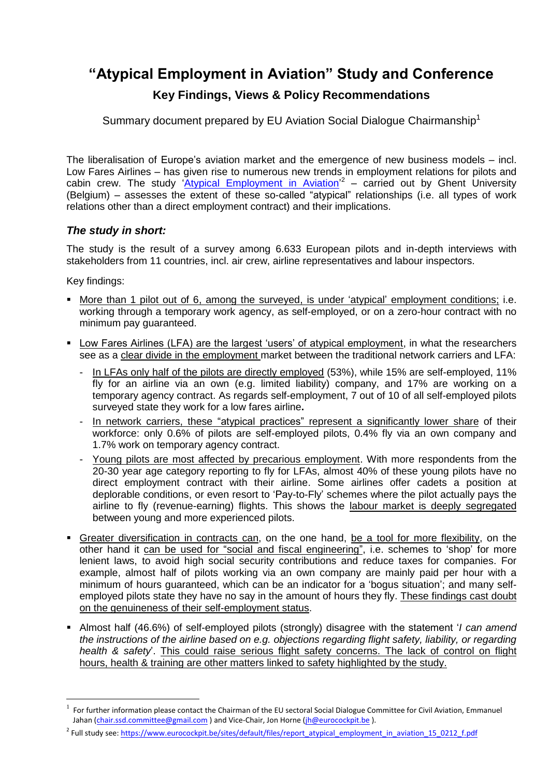## **"Atypical Employment in Aviation" Study and Conference Key Findings, Views & Policy Recommendations**

Summary document prepared by EU Aviation Social Dialogue Chairmanship<sup>1</sup>

The liberalisation of Europe's aviation market and the emergence of new business models – incl. Low Fares Airlines – has given rise to numerous new trends in employment relations for pilots and cabin crew. The study ['Atypical Employment in Aviation'](https://www.eurocockpit.be/sites/default/files/report_atypical_employment_in_aviation_15_0212_f.pdf)<sup>2</sup> – carried out by Ghent University (Belgium) – assesses the extent of these so-called "atypical" relationships (i.e. all types of work relations other than a direct employment contract) and their implications.

## *The study in short:*

The study is the result of a survey among 6.633 European pilots and in-depth interviews with stakeholders from 11 countries, incl. air crew, airline representatives and labour inspectors.

Key findings:

 $\overline{a}$ 

- More than 1 pilot out of 6, among the surveyed, is under 'atypical' employment conditions; i.e. working through a temporary work agency, as self-employed, or on a zero-hour contract with no minimum pay guaranteed.
- Low Fares Airlines (LFA) are the largest 'users' of atypical employment, in what the researchers see as a clear divide in the employment market between the traditional network carriers and LFA:
	- In LFAs only half of the pilots are directly employed (53%), while 15% are self-employed, 11% fly for an airline via an own (e.g. limited liability) company, and 17% are working on a temporary agency contract. As regards self-employment, 7 out of 10 of all self-employed pilots surveyed state they work for a low fares airline**.**
	- In network carriers, these "atypical practices" represent a significantly lower share of their workforce: only 0.6% of pilots are self-employed pilots, 0.4% fly via an own company and 1.7% work on temporary agency contract.
	- Young pilots are most affected by precarious employment. With more respondents from the 20-30 year age category reporting to fly for LFAs, almost 40% of these young pilots have no direct employment contract with their airline. Some airlines offer cadets a position at deplorable conditions, or even resort to 'Pay-to-Fly' schemes where the pilot actually pays the airline to fly (revenue-earning) flights. This shows the labour market is deeply segregated between young and more experienced pilots.
- Greater diversification in contracts can, on the one hand, be a tool for more flexibility, on the other hand it can be used for "social and fiscal engineering", i.e. schemes to 'shop' for more lenient laws, to avoid high social security contributions and reduce taxes for companies. For example, almost half of pilots working via an own company are mainly paid per hour with a minimum of hours guaranteed, which can be an indicator for a 'bogus situation'; and many selfemployed pilots state they have no say in the amount of hours they fly. These findings cast doubt on the genuineness of their self-employment status.
- Almost half (46.6%) of self-employed pilots (strongly) disagree with the statement '*I can amend the instructions of the airline based on e.g. objections regarding flight safety, liability, or regarding health & safety*'. This could raise serious flight safety concerns. The lack of control on flight hours, health & training are other matters linked to safety highlighted by the study.

 $^1$  For further information please contact the Chairman of the EU sectoral Social Dialogue Committee for Civil Aviation, Emmanuel Jahan [\(chair.ssd.committee@gmail.com](mailto:chair.ssd.committee@gmail.com)) and Vice-Chair, Jon Horne [\(jh@eurocockpit.be](mailto:jh@eurocockpit.be)).

<sup>&</sup>lt;sup>2</sup> Full study see: [https://www.eurocockpit.be/sites/default/files/report\\_atypical\\_employment\\_in\\_aviation\\_15\\_0212\\_f.pdf](https://www.eurocockpit.be/sites/default/files/report_atypical_employment_in_aviation_15_0212_f.pdf)